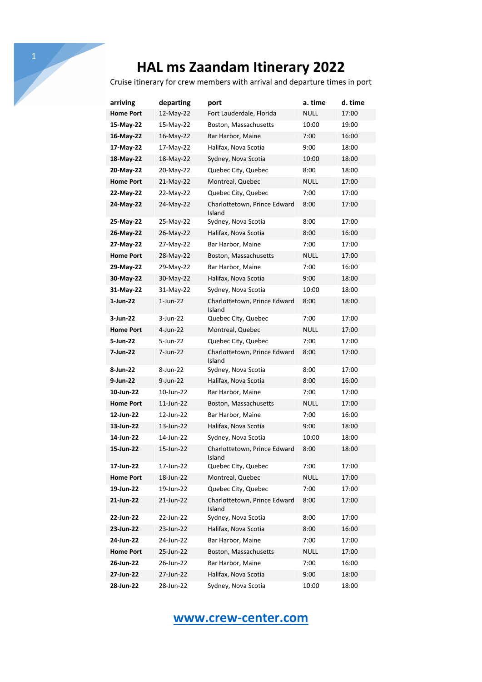Cruise itinerary for crew members with arrival and departure times in port

| arriving         | departing   | port                                   | a. time     | d. time |
|------------------|-------------|----------------------------------------|-------------|---------|
| <b>Home Port</b> | 12-May-22   | Fort Lauderdale, Florida               | <b>NULL</b> | 17:00   |
| 15-May-22        | 15-May-22   | Boston, Massachusetts                  | 10:00       | 19:00   |
| 16-May-22        | 16-May-22   | Bar Harbor, Maine                      | 7:00        | 16:00   |
| 17-May-22        | 17-May-22   | Halifax, Nova Scotia                   | 9:00        | 18:00   |
| 18-May-22        | 18-May-22   | Sydney, Nova Scotia                    | 10:00       | 18:00   |
| 20-May-22        | 20-May-22   | Quebec City, Quebec                    | 8:00        | 18:00   |
| <b>Home Port</b> | 21-May-22   | Montreal, Quebec                       | <b>NULL</b> | 17:00   |
| 22-May-22        | 22-May-22   | Quebec City, Quebec                    | 7:00        | 17:00   |
| 24-May-22        | 24-May-22   | Charlottetown, Prince Edward<br>Island | 8:00        | 17:00   |
| 25-May-22        | 25-May-22   | Sydney, Nova Scotia                    | 8:00        | 17:00   |
| 26-May-22        | 26-May-22   | Halifax, Nova Scotia                   | 8:00        | 16:00   |
| 27-May-22        | 27-May-22   | Bar Harbor, Maine                      | 7:00        | 17:00   |
| <b>Home Port</b> | 28-May-22   | Boston, Massachusetts                  | <b>NULL</b> | 17:00   |
| 29-May-22        | 29-May-22   | Bar Harbor, Maine                      | 7:00        | 16:00   |
| 30-May-22        | 30-May-22   | Halifax, Nova Scotia                   | 9:00        | 18:00   |
| 31-May-22        | 31-May-22   | Sydney, Nova Scotia                    | 10:00       | 18:00   |
| $1$ -Jun-22      | $1$ -Jun-22 | Charlottetown, Prince Edward<br>Island | 8:00        | 18:00   |
| 3-Jun-22         | 3-Jun-22    | Quebec City, Quebec                    | 7:00        | 17:00   |
| <b>Home Port</b> | 4-Jun-22    | Montreal, Quebec                       | NULL        | 17:00   |
| 5-Jun-22         | 5-Jun-22    | Quebec City, Quebec                    | 7:00        | 17:00   |
| 7-Jun-22         | 7-Jun-22    | Charlottetown, Prince Edward<br>Island | 8:00        | 17:00   |
| 8-Jun-22         | 8-Jun-22    | Sydney, Nova Scotia                    | 8:00        | 17:00   |
| 9-Jun-22         | 9-Jun-22    | Halifax, Nova Scotia                   | 8:00        | 16:00   |
| 10-Jun-22        | 10-Jun-22   | Bar Harbor, Maine                      | 7:00        | 17:00   |
| <b>Home Port</b> | 11-Jun-22   | Boston, Massachusetts                  | NULL        | 17:00   |
| 12-Jun-22        | 12-Jun-22   | Bar Harbor, Maine                      | 7:00        | 16:00   |
| 13-Jun-22        | 13-Jun-22   | Halifax, Nova Scotia                   | 9:00        | 18:00   |
| 14-Jun-22        | 14-Jun-22   | Sydney, Nova Scotia                    | 10:00       | 18:00   |
| 15-Jun-22        | 15-Jun-22   | Charlottetown, Prince Edward<br>Island | 8:00        | 18:00   |
| 17-Jun-22        | 17-Jun-22   | Quebec City, Quebec                    | 7:00        | 17:00   |
| <b>Home Port</b> | 18-Jun-22   | Montreal, Quebec                       | <b>NULL</b> | 17:00   |
| 19-Jun-22        | 19-Jun-22   | Quebec City, Quebec                    | 7:00        | 17:00   |
| 21-Jun-22        | 21-Jun-22   | Charlottetown, Prince Edward<br>Island | 8:00        | 17:00   |
| 22-Jun-22        | 22-Jun-22   | Sydney, Nova Scotia                    | 8:00        | 17:00   |
| 23-Jun-22        | 23-Jun-22   | Halifax, Nova Scotia                   | 8:00        | 16:00   |
| 24-Jun-22        | 24-Jun-22   | Bar Harbor, Maine                      | 7:00        | 17:00   |
| <b>Home Port</b> | 25-Jun-22   | Boston, Massachusetts                  | <b>NULL</b> | 17:00   |
| 26-Jun-22        | 26-Jun-22   | Bar Harbor, Maine                      | 7:00        | 16:00   |
| 27-Jun-22        | 27-Jun-22   | Halifax, Nova Scotia                   | 9:00        | 18:00   |
| 28-Jun-22        | 28-Jun-22   | Sydney, Nova Scotia                    | 10:00       | 18:00   |

### **www.crew-center.com**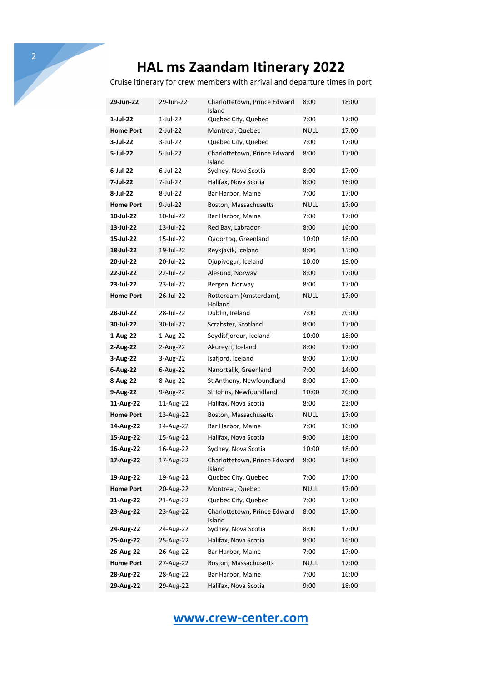Cruise itinerary for crew members with arrival and departure times in port

| 29-Jun-22        | 29-Jun-22   | Charlottetown, Prince Edward<br>Island | 8:00        | 18:00 |
|------------------|-------------|----------------------------------------|-------------|-------|
| 1-Jul-22         | 1-Jul-22    | Quebec City, Quebec                    | 7:00        | 17:00 |
| <b>Home Port</b> | $2$ -Jul-22 | Montreal, Quebec                       | NULL        | 17:00 |
| $3-Jul-22$       | 3-Jul-22    | Quebec City, Quebec                    | 7:00        | 17:00 |
| 5-Jul-22         | 5-Jul-22    | Charlottetown, Prince Edward<br>Island | 8:00        | 17:00 |
| 6-Jul-22         | $6$ -Jul-22 | Sydney, Nova Scotia                    | 8:00        | 17:00 |
| 7-Jul-22         | 7-Jul-22    | Halifax, Nova Scotia                   | 8:00        | 16:00 |
| 8-Jul-22         | 8-Jul-22    | Bar Harbor, Maine                      | 7:00        | 17:00 |
| <b>Home Port</b> | 9-Jul-22    | Boston, Massachusetts                  | NULL        | 17:00 |
| 10-Jul-22        | 10-Jul-22   | Bar Harbor, Maine                      | 7:00        | 17:00 |
| 13-Jul-22        | 13-Jul-22   | Red Bay, Labrador                      | 8:00        | 16:00 |
| 15-Jul-22        | 15-Jul-22   | Qaqortoq, Greenland                    | 10:00       | 18:00 |
| 18-Jul-22        | 19-Jul-22   | Reykjavik, Iceland                     | 8:00        | 15:00 |
| 20-Jul-22        | 20-Jul-22   | Djupivogur, Iceland                    | 10:00       | 19:00 |
| 22-Jul-22        | 22-Jul-22   | Alesund, Norway                        | 8:00        | 17:00 |
| 23-Jul-22        | 23-Jul-22   | Bergen, Norway                         | 8:00        | 17:00 |
| <b>Home Port</b> | 26-Jul-22   | Rotterdam (Amsterdam),<br>Holland      | <b>NULL</b> | 17:00 |
| 28-Jul-22        | 28-Jul-22   | Dublin, Ireland                        | 7:00        | 20:00 |
| 30-Jul-22        | 30-Jul-22   | Scrabster, Scotland                    | 8:00        | 17:00 |
| 1-Aug-22         | 1-Aug-22    | Seydisfjordur, Iceland                 | 10:00       | 18:00 |
| 2-Aug-22         | 2-Aug-22    | Akureyri, Iceland                      | 8:00        | 17:00 |
| 3-Aug-22         | 3-Aug-22    | Isafjord, Iceland                      | 8:00        | 17:00 |
| 6-Aug-22         | 6-Aug-22    | Nanortalik, Greenland                  | 7:00        | 14:00 |
| 8-Aug-22         | 8-Aug-22    | St Anthony, Newfoundland               | 8:00        | 17:00 |
| 9-Aug-22         | 9-Aug-22    | St Johns, Newfoundland                 | 10:00       | 20:00 |
| 11-Aug-22        | 11-Aug-22   | Halifax, Nova Scotia                   | 8:00        | 23:00 |
| <b>Home Port</b> | 13-Aug-22   | Boston, Massachusetts                  | NULL        | 17:00 |
| 14-Aug-22        | 14-Aug-22   | Bar Harbor, Maine                      | 7:00        | 16:00 |
| 15-Aug-22        | 15-Aug-22   | Halifax, Nova Scotia                   | 9:00        | 18:00 |
| 16-Aug-22        | 16-Aug-22   | Sydney, Nova Scotia                    | 10:00       | 18:00 |
| 17-Aug-22        | 17-Aug-22   | Charlottetown, Prince Edward<br>Island | 8:00        | 18:00 |
| 19-Aug-22        | 19-Aug-22   | Quebec City, Quebec                    | 7:00        | 17:00 |
| <b>Home Port</b> | 20-Aug-22   | Montreal, Quebec                       | <b>NULL</b> | 17:00 |
| 21-Aug-22        | 21-Aug-22   | Quebec City, Quebec                    | 7:00        | 17:00 |
| 23-Aug-22        | 23-Aug-22   | Charlottetown, Prince Edward<br>Island | 8:00        | 17:00 |
| 24-Aug-22        | 24-Aug-22   | Sydney, Nova Scotia                    | 8:00        | 17:00 |
| 25-Aug-22        | 25-Aug-22   | Halifax, Nova Scotia                   | 8:00        | 16:00 |
| 26-Aug-22        | 26-Aug-22   | Bar Harbor, Maine                      | 7:00        | 17:00 |
| <b>Home Port</b> | 27-Aug-22   | Boston, Massachusetts                  | <b>NULL</b> | 17:00 |
| 28-Aug-22        | 28-Aug-22   | Bar Harbor, Maine                      | 7:00        | 16:00 |
| 29-Aug-22        | 29-Aug-22   | Halifax, Nova Scotia                   | 9:00        | 18:00 |

### **www.crew-center.com**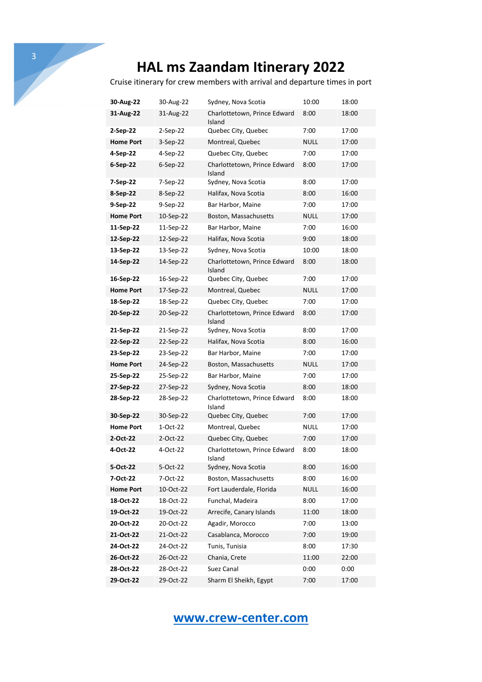Cruise itinerary for crew members with arrival and departure times in port

| 30-Aug-22        | 30-Aug-22  | Sydney, Nova Scotia                    | 10:00       | 18:00 |
|------------------|------------|----------------------------------------|-------------|-------|
| 31-Aug-22        | 31-Aug-22  | Charlottetown, Prince Edward<br>Island | 8:00        | 18:00 |
| 2-Sep-22         | $2-Sep-22$ | Quebec City, Quebec                    | 7:00        | 17:00 |
| <b>Home Port</b> | $3-Sep-22$ | Montreal, Quebec                       | <b>NULL</b> | 17:00 |
| 4-Sep-22         | 4-Sep-22   | Quebec City, Quebec                    | 7:00        | 17:00 |
| 6-Sep-22         | $6-Sep-22$ | Charlottetown, Prince Edward<br>Island | 8:00        | 17:00 |
| 7-Sep-22         | 7-Sep-22   | Sydney, Nova Scotia                    | 8:00        | 17:00 |
| 8-Sep-22         | 8-Sep-22   | Halifax, Nova Scotia                   | 8:00        | 16:00 |
| 9-Sep-22         | 9-Sep-22   | Bar Harbor, Maine                      | 7:00        | 17:00 |
| <b>Home Port</b> | 10-Sep-22  | Boston, Massachusetts                  | NULL        | 17:00 |
| 11-Sep-22        | 11-Sep-22  | Bar Harbor, Maine                      | 7:00        | 16:00 |
| 12-Sep-22        | 12-Sep-22  | Halifax, Nova Scotia                   | 9:00        | 18:00 |
| 13-Sep-22        | 13-Sep-22  | Sydney, Nova Scotia                    | 10:00       | 18:00 |
| 14-Sep-22        | 14-Sep-22  | Charlottetown, Prince Edward<br>Island | 8:00        | 18:00 |
| 16-Sep-22        | 16-Sep-22  | Quebec City, Quebec                    | 7:00        | 17:00 |
| <b>Home Port</b> | 17-Sep-22  | Montreal, Quebec                       | NULL        | 17:00 |
| 18-Sep-22        | 18-Sep-22  | Quebec City, Quebec                    | 7:00        | 17:00 |
| 20-Sep-22        | 20-Sep-22  | Charlottetown, Prince Edward<br>Island | 8:00        | 17:00 |
| 21-Sep-22        | 21-Sep-22  | Sydney, Nova Scotia                    | 8:00        | 17:00 |
| 22-Sep-22        | 22-Sep-22  | Halifax, Nova Scotia                   | 8:00        | 16:00 |
| 23-Sep-22        | 23-Sep-22  | Bar Harbor, Maine                      | 7:00        | 17:00 |
| <b>Home Port</b> | 24-Sep-22  | Boston, Massachusetts                  | NULL        | 17:00 |
| 25-Sep-22        | 25-Sep-22  | Bar Harbor, Maine                      | 7:00        | 17:00 |
| 27-Sep-22        | 27-Sep-22  | Sydney, Nova Scotia                    | 8:00        | 18:00 |
| 28-Sep-22        | 28-Sep-22  | Charlottetown, Prince Edward<br>Island | 8:00        | 18:00 |
| 30-Sep-22        | 30-Sep-22  | Quebec City, Quebec                    | 7:00        | 17:00 |
| <b>Home Port</b> | 1-Oct-22   | Montreal, Quebec                       | NULL        | 17:00 |
| 2-Oct-22         | 2-Oct-22   | Quebec City, Quebec                    | 7:00        | 17:00 |
| 4-Oct-22         | 4-Oct-22   | Charlottetown, Prince Edward<br>Island | 8:00        | 18:00 |
| 5-Oct-22         | 5-Oct-22   | Sydney, Nova Scotia                    | 8:00        | 16:00 |
| 7-Oct-22         | 7-Oct-22   | Boston, Massachusetts                  | 8:00        | 16:00 |
| <b>Home Port</b> | 10-Oct-22  | Fort Lauderdale, Florida               | <b>NULL</b> | 16:00 |
| 18-Oct-22        | 18-Oct-22  | Funchal, Madeira                       | 8:00        | 17:00 |
| 19-Oct-22        | 19-Oct-22  | Arrecife, Canary Islands               | 11:00       | 18:00 |
| 20-Oct-22        | 20-Oct-22  | Agadir, Morocco                        | 7:00        | 13:00 |
| 21-Oct-22        | 21-Oct-22  | Casablanca, Morocco                    | 7:00        | 19:00 |
| 24-Oct-22        | 24-Oct-22  | Tunis, Tunisia                         | 8:00        | 17:30 |
| 26-Oct-22        | 26-Oct-22  | Chania, Crete                          | 11:00       | 22:00 |
| 28-Oct-22        | 28-Oct-22  | Suez Canal                             | 0:00        | 0:00  |
| 29-Oct-22        | 29-Oct-22  | Sharm El Sheikh, Egypt                 | 7:00        | 17:00 |

### **www.crew-center.com**